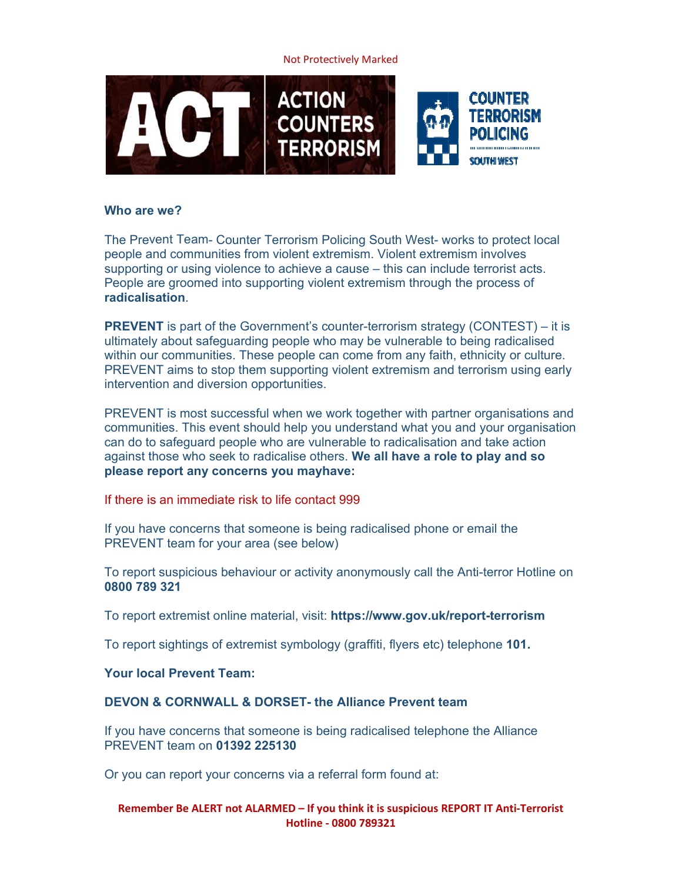**Not Protectively Marked** 



## Who are we?

The Prevent Team- Counter Terrorism Policing South West- works to protect local people and communities from violent extremism. Violent extremism involves supporting or using violence to achieve a cause – this can include terrorist acts. People are groomed into supporting violent extremism through the process of radicalisation

**PREVENT** is part of the Government's counter-terrorism strategy (CONTEST) – it is ultimately about safequarding people who may be vulnerable to being radicalised within our communities. These people can come from any faith, ethnicity or culture. PREVENT aims to stop them supporting violent extremism and terrorism using early intervention and diversion opportunities.

PREVENT is most successful when we work together with partner organisations and communities. This event should help you understand what you and your organisation can do to safequard people who are vulnerable to radicalisation and take action against those who seek to radicalise others. We all have a role to play and so please report any concerns you mayhave:

If there is an immediate risk to life contact 999

If you have concerns that someone is being radicalised phone or email the PREVENT team for your area (see below)

To report suspicious behaviour or activity anonymously call the Anti-terror Hotline on 0800 789 321

To report extremist online material, visit: https://www.gov.uk/report-terrorism

To report sightings of extremist symbology (graffiti, flyers etc) telephone 101.

# **Your local Prevent Team:**

# **DEVON & CORNWALL & DORSET- the Alliance Prevent team**

If you have concerns that someone is being radicalised telephone the Alliance PREVENT team on 01392 225130

Or you can report your concerns via a referral form found at:

## Remember Be ALERT not ALARMED - If you think it is suspicious REPORT IT Anti-Terrorist Hotline - 0800 789321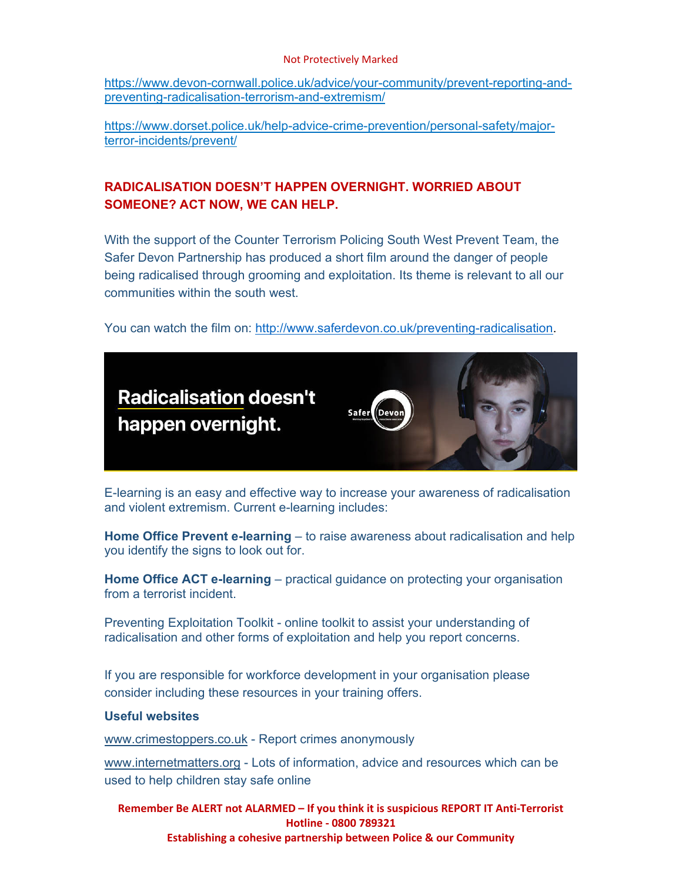#### Not Protectively Marked

https://www.devon-cornwall.police.uk/advice/your-community/prevent-reporting-andpreventing-radicalisation-terrorism-and-extremism/

https://www.dorset.police.uk/help-advice-crime-prevention/personal-safety/majorterror-incidents/prevent/

# **RADICALISATION DOESN'T HAPPEN OVERNIGHT. WORRIED ABOUT SOMEONE? ACT NOW, WE CAN HELP.**

With the support of the Counter Terrorism Policing South West Prevent Team, the Safer Devon Partnership has produced a short film around the danger of people being radicalised through grooming and exploitation. Its theme is relevant to all our communities within the south west.

You can watch the film on: http://www.saferdevon.co.uk/preventing-radicalisation.



E-learning is an easy and effective way to increase your awareness of radicalisation and violent extremism. Current e-learning includes:

**Home Office Prevent e-learning** – to raise awareness about radicalisation and help you identify the signs to look out for.

**Home Office ACT e-learning** – practical guidance on protecting your organisation from a terrorist incident.

Preventing Exploitation Toolkit - online toolkit to assist your understanding of radicalisation and other forms of exploitation and help you report concerns.

If you are responsible for workforce development in your organisation please consider including these resources in your training offers.

# **Useful websites**

www.crimestoppers.co.uk - Report crimes anonymously

www.internetmatters.org - Lots of information, advice and resources which can be used to help children stay safe online

**Remember Be ALERT not ALARMED – If you think it is suspicious REPORT IT Anti‐Terrorist Hotline ‐ 0800 789321 Establishing a cohesive partnership between Police & our Community**